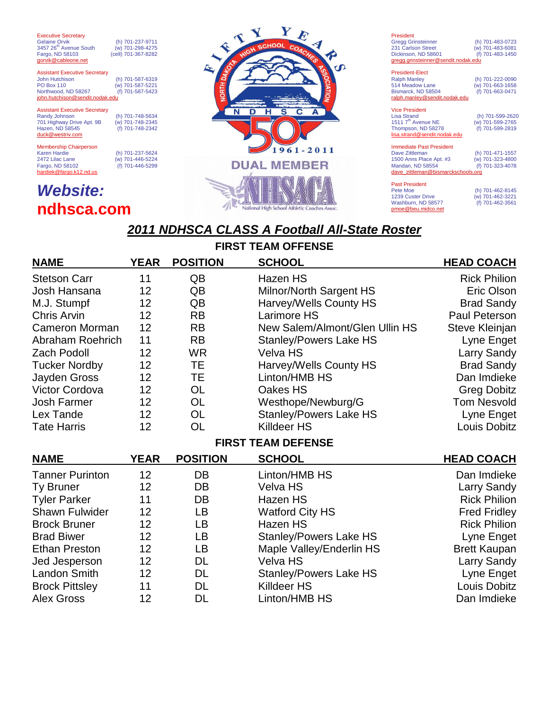Executive Secretary Gelaine Orvik (h) 701-237-9711<br>3457 26<sup>th</sup> Avenue South (w) 701-298-4275 Fargo, ND 58103 (cell) 701-367-8282 gorvik@cableone.net

Assistant Executive Secretary John Hutchison (h) 701-587-6319 PO Box 110 (w) 701-587-5221 Northwood, ND 58267 (f) 701-587-5423<br> **john.hutchison@sendit.nodak.edu** 

### Assistant Executive Secretary<br>Randy Johnson 701 Highway Drive Apt. 9B (w) 701-748-2345 Hazen, ND 58545 (f) 701-748-2342 duck@westriv.com

Membership Chairperson<br>Karen Hardie Karen Hardie (h) 701-237-5624 2472 Lilac Lane (w) 701-446-5224 Fargo, ND 58102 (f) 701-446-5299 hardiek@fargo.k12.nd.us

(h) 701-748-5634<br>(w) 701-748-2345<br>(f) 701-748-2342

# *Website:* **ndhsca.com**



### President Gregg Grinsteinner (h) 701-483-0723 231 Carlson Street (w) 701-483-6081 Dickinson, ND 58601 (f) 701-483-1450 gregg.grinsteinner@sendit. President-Elect Ralph Manley (h) 701-222-0090 514 Meadow Lane (w) 701-663-1658 Bismarck, ND 58504 (f) 701-663-0471 ralph.manley@sendit.nodak.edu Vice President

| <b>Lisa Strand</b>                 | (h) 701-599-2620 |
|------------------------------------|------------------|
| 1511 7 <sup>th</sup> Avenue NE     | (w) 701-599-2765 |
| Thompson, ND 58278                 | (f) 701-599-2819 |
| lisa.strand@sendit.nodak.edu       |                  |
|                                    |                  |
| <b>Immediate Past President</b>    |                  |
| Dave Zittleman                     | (h) 701-471-1557 |
| 1500 Anns Place Apt. #3            | (w) 701-323-4800 |
| Mandan, ND 58554                   | (f) 701-323-4078 |
| dave zittleman@bismarckschools.org |                  |
|                                    |                  |
| <b>Past President</b>              |                  |
| Pete Moe                           | (h) 701-462-8145 |

(h) 701-462-8145<br>(w) 701-462-3221 1239 Custer Drive (w) 701-462-3221<br>Washburn, ND 58577 (f) 701-462-3561 Washburn, ND 58577 pmoe@beu.midco.net

## *2011 NDHSCA CLASS A Football All-State Roster*

**FIRST CHAME** 

| FIRST TEAM OFFENSE        |             |                 |                                |                     |  |
|---------------------------|-------------|-----------------|--------------------------------|---------------------|--|
| <b>NAME</b>               | <b>YEAR</b> | <b>POSITION</b> | <b>SCHOOL</b>                  | <b>HEAD COACH</b>   |  |
| <b>Stetson Carr</b>       | 11          | QB              | Hazen HS                       | <b>Rick Philion</b> |  |
| Josh Hansana              | 12          | QB              | Milnor/North Sargent HS        | Eric Olson          |  |
| M.J. Stumpf               | 12          | QB              | Harvey/Wells County HS         | <b>Brad Sandy</b>   |  |
| <b>Chris Arvin</b>        | 12          | <b>RB</b>       | <b>Larimore HS</b>             | Paul Peterson       |  |
| <b>Cameron Morman</b>     | 12          | <b>RB</b>       | New Salem/Almont/Glen Ullin HS | Steve Kleinjan      |  |
| <b>Abraham Roehrich</b>   | 11          | <b>RB</b>       | <b>Stanley/Powers Lake HS</b>  | Lyne Enget          |  |
| <b>Zach Podoll</b>        | 12          | <b>WR</b>       | <b>Velva HS</b>                | <b>Larry Sandy</b>  |  |
| <b>Tucker Nordby</b>      | 12          | <b>TE</b>       | Harvey/Wells County HS         | <b>Brad Sandy</b>   |  |
| Jayden Gross              | 12          | TE              | Linton/HMB HS                  | Dan Imdieke         |  |
| <b>Victor Cordova</b>     | 12          | <b>OL</b>       | Oakes HS                       | <b>Greg Dobitz</b>  |  |
| <b>Josh Farmer</b>        | 12          | <b>OL</b>       | Westhope/Newburg/G             | <b>Tom Nesvold</b>  |  |
| Lex Tande                 | 12          | <b>OL</b>       | <b>Stanley/Powers Lake HS</b>  | Lyne Enget          |  |
| <b>Tate Harris</b>        | 12          | <b>OL</b>       | <b>Killdeer HS</b>             | Louis Dobitz        |  |
| <b>FIRST TEAM DEFENSE</b> |             |                 |                                |                     |  |
| <b>NAME</b>               | <b>YEAR</b> | <b>POSITION</b> | <b>SCHOOL</b>                  | <b>HEAD COACH</b>   |  |
| <b>Tanner Purinton</b>    | 12          | DB              | Linton/HMB HS                  | Dan Imdieke         |  |
| <b>Ty Bruner</b>          | 12          | DB              | Velva HS                       | Larry Sandy         |  |
| <b>Tyler Parker</b>       | 11          | DB              | Hazen HS                       | <b>Rick Philion</b> |  |
| <b>Shawn Fulwider</b>     | 12          | LB              | <b>Watford City HS</b>         | <b>Fred Fridley</b> |  |
| <b>Brock Bruner</b>       | 12          | <b>LB</b>       | Hazen HS                       | <b>Rick Philion</b> |  |
| <b>Brad Biwer</b>         | 12          | LB              | <b>Stanley/Powers Lake HS</b>  | Lyne Enget          |  |
| <b>Ethan Preston</b>      | 12          | LB              | Maple Valley/Enderlin HS       | <b>Brett Kaupan</b> |  |
| Jed Jesperson             | 12          | <b>DL</b>       | Velva HS                       | <b>Larry Sandy</b>  |  |
| Landon Smith              | 12          | <b>DL</b>       | <b>Stanley/Powers Lake HS</b>  | Lyne Enget          |  |
| <b>Brock Pittsley</b>     | 11          | <b>DL</b>       | <b>Killdeer HS</b>             | Louis Dobitz        |  |
| <b>Alex Gross</b>         | 12          | <b>DL</b>       | Linton/HMB HS                  | Dan Imdieke         |  |